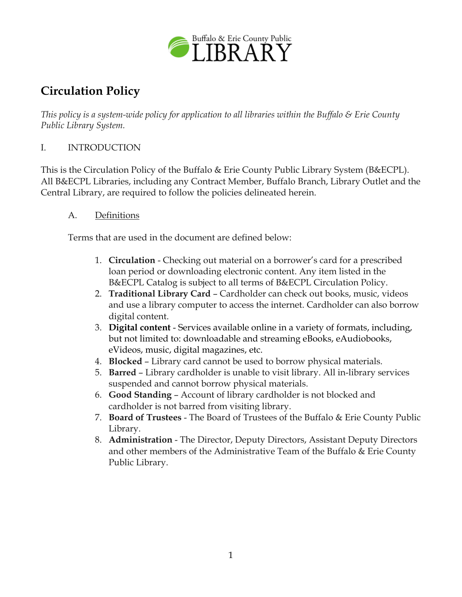

# **Circulation Policy**

*This policy is a system-wide policy for application to all libraries within the Buffalo & Erie County Public Library System.*

### I. INTRODUCTION

This is the Circulation Policy of the Buffalo & Erie County Public Library System (B&ECPL). All B&ECPL Libraries, including any Contract Member, Buffalo Branch, Library Outlet and the Central Library, are required to follow the policies delineated herein.

#### A. Definitions

Terms that are used in the document are defined below:

- 1. **Circulation** Checking out material on a borrower's card for a prescribed loan period or downloading electronic content. Any item listed in the B&ECPL Catalog is subject to all terms of B&ECPL Circulation Policy.
- 2. **Traditional Library Card** Cardholder can check out books, music, videos and use a library computer to access the internet. Cardholder can also borrow digital content.
- 3. **Digital content** Services available online in a variety of formats, including, but not limited to: downloadable and streaming eBooks, eAudiobooks, eVideos, music, digital magazines, etc.
- 4. **Blocked** Library card cannot be used to borrow physical materials.
- 5. **Barred** Library cardholder is unable to visit library. All in-library services suspended and cannot borrow physical materials.
- 6. **Good Standing** Account of library cardholder is not blocked and cardholder is not barred from visiting library.
- 7. **Board of Trustees** The Board of Trustees of the Buffalo & Erie County Public Library.
- 8. **Administration** The Director, Deputy Directors, Assistant Deputy Directors and other members of the Administrative Team of the Buffalo & Erie County Public Library.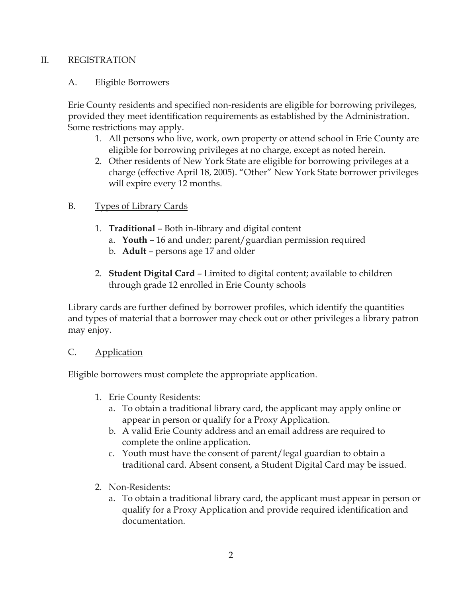#### II. REGISTRATION

#### A. Eligible Borrowers

Erie County residents and specified non-residents are eligible for borrowing privileges, provided they meet identification requirements as established by the Administration. Some restrictions may apply.

- 1. All persons who live, work, own property or attend school in Erie County are eligible for borrowing privileges at no charge, except as noted herein.
- 2. Other residents of New York State are eligible for borrowing privileges at a charge (effective April 18, 2005). "Other" New York State borrower privileges will expire every 12 months.

#### B. Types of Library Cards

- 1. **Traditional** Both in-library and digital content
	- a. **Youth** 16 and under; parent/guardian permission required
	- b. **Adult** persons age 17 and older
- 2. **Student Digital Card** Limited to digital content; available to children through grade 12 enrolled in Erie County schools

Library cards are further defined by borrower profiles, which identify the quantities and types of material that a borrower may check out or other privileges a library patron may enjoy.

#### C. Application

Eligible borrowers must complete the appropriate application.

- 1. Erie County Residents:
	- a. To obtain a traditional library card, the applicant may apply online or appear in person or qualify for a Proxy Application.
	- b. A valid Erie County address and an email address are required to complete the online application.
	- c. Youth must have the consent of parent/legal guardian to obtain a traditional card. Absent consent, a Student Digital Card may be issued.
- 2. Non-Residents:
	- a. To obtain a traditional library card, the applicant must appear in person or qualify for a Proxy Application and provide required identification and documentation.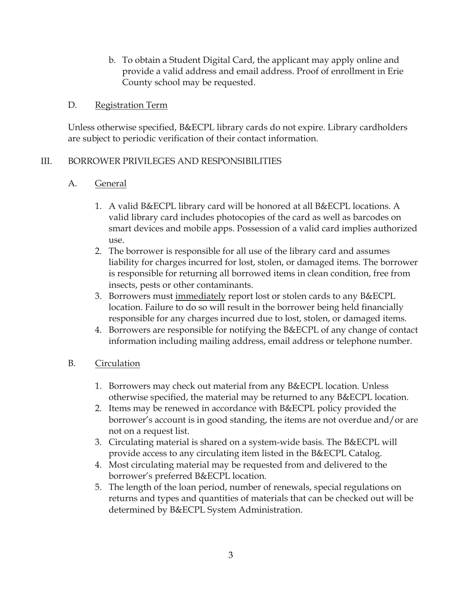b. To obtain a Student Digital Card, the applicant may apply online and provide a valid address and email address. Proof of enrollment in Erie County school may be requested.

#### D. Registration Term

Unless otherwise specified, B&ECPL library cards do not expire. Library cardholders are subject to periodic verification of their contact information.

#### III. BORROWER PRIVILEGES AND RESPONSIBILITIES

#### A. General

- 1. A valid B&ECPL library card will be honored at all B&ECPL locations. A valid library card includes photocopies of the card as well as barcodes on smart devices and mobile apps. Possession of a valid card implies authorized use.
- 2. The borrower is responsible for all use of the library card and assumes liability for charges incurred for lost, stolen, or damaged items. The borrower is responsible for returning all borrowed items in clean condition, free from insects, pests or other contaminants.
- 3. Borrowers must immediately report lost or stolen cards to any B&ECPL location. Failure to do so will result in the borrower being held financially responsible for any charges incurred due to lost, stolen, or damaged items.
- 4. Borrowers are responsible for notifying the B&ECPL of any change of contact information including mailing address, email address or telephone number.

#### B. Circulation

- 1. Borrowers may check out material from any B&ECPL location. Unless otherwise specified, the material may be returned to any B&ECPL location.
- 2. Items may be renewed in accordance with B&ECPL policy provided the borrower's account is in good standing, the items are not overdue and/or are not on a request list.
- 3. Circulating material is shared on a system-wide basis. The B&ECPL will provide access to any circulating item listed in the B&ECPL Catalog.
- 4. Most circulating material may be requested from and delivered to the borrower's preferred B&ECPL location.
- 5. The length of the loan period, number of renewals, special regulations on returns and types and quantities of materials that can be checked out will be determined by B&ECPL System Administration.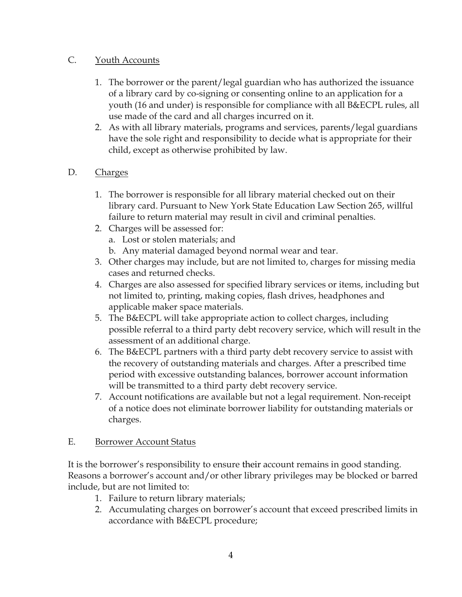## C. Youth Accounts

- 1. The borrower or the parent/legal guardian who has authorized the issuance of a library card by co-signing or consenting online to an application for a youth (16 and under) is responsible for compliance with all B&ECPL rules, all use made of the card and all charges incurred on it.
- 2. As with all library materials, programs and services, parents/legal guardians have the sole right and responsibility to decide what is appropriate for their child, except as otherwise prohibited by law.

## D. Charges

- 1. The borrower is responsible for all library material checked out on their library card. Pursuant to New York State Education Law Section 265, willful failure to return material may result in civil and criminal penalties.
- 2. Charges will be assessed for:
	- a. Lost or stolen materials; and
	- b. Any material damaged beyond normal wear and tear.
- 3. Other charges may include, but are not limited to, charges for missing media cases and returned checks.
- 4. Charges are also assessed for specified library services or items, including but not limited to, printing, making copies, flash drives, headphones and applicable maker space materials.
- 5. The B&ECPL will take appropriate action to collect charges, including possible referral to a third party debt recovery service, which will result in the assessment of an additional charge.
- 6. The B&ECPL partners with a third party debt recovery service to assist with the recovery of outstanding materials and charges. After a prescribed time period with excessive outstanding balances, borrower account information will be transmitted to a third party debt recovery service.
- 7. Account notifications are available but not a legal requirement. Non-receipt of a notice does not eliminate borrower liability for outstanding materials or charges.

#### E. Borrower Account Status

It is the borrower's responsibility to ensure their account remains in good standing. Reasons a borrower's account and/or other library privileges may be blocked or barred include, but are not limited to:

- 1. Failure to return library materials;
- 2. Accumulating charges on borrower's account that exceed prescribed limits in accordance with B&ECPL procedure;